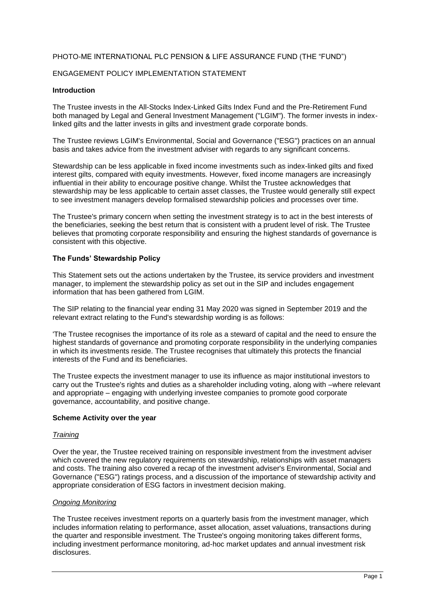# PHOTO-ME INTERNATIONAL PLC PENSION & LIFE ASSURANCE FUND (THE "FUND")

## ENGAGEMENT POLICY IMPLEMENTATION STATEMENT

#### **Introduction**

The Trustee invests in the All-Stocks Index-Linked Gilts Index Fund and the Pre-Retirement Fund both managed by Legal and General Investment Management ("LGIM"). The former invests in indexlinked gilts and the latter invests in gilts and investment grade corporate bonds.

The Trustee reviews LGIM's Environmental, Social and Governance ("ESG") practices on an annual basis and takes advice from the investment adviser with regards to any significant concerns.

Stewardship can be less applicable in fixed income investments such as index-linked gilts and fixed interest gilts, compared with equity investments. However, fixed income managers are increasingly influential in their ability to encourage positive change. Whilst the Trustee acknowledges that stewardship may be less applicable to certain asset classes, the Trustee would generally still expect to see investment managers develop formalised stewardship policies and processes over time.

The Trustee's primary concern when setting the investment strategy is to act in the best interests of the beneficiaries, seeking the best return that is consistent with a prudent level of risk. The Trustee believes that promoting corporate responsibility and ensuring the highest standards of governance is consistent with this objective.

### **The Funds' Stewardship Policy**

This Statement sets out the actions undertaken by the Trustee, its service providers and investment manager, to implement the stewardship policy as set out in the SIP and includes engagement information that has been gathered from LGIM.

The SIP relating to the financial year ending 31 May 2020 was signed in September 2019 and the relevant extract relating to the Fund's stewardship wording is as follows:

'The Trustee recognises the importance of its role as a steward of capital and the need to ensure the highest standards of governance and promoting corporate responsibility in the underlying companies in which its investments reside. The Trustee recognises that ultimately this protects the financial interests of the Fund and its beneficiaries.

The Trustee expects the investment manager to use its influence as major institutional investors to carry out the Trustee's rights and duties as a shareholder including voting, along with –where relevant and appropriate – engaging with underlying investee companies to promote good corporate governance, accountability, and positive change.

#### **Scheme Activity over the year**

#### *Training*

Over the year, the Trustee received training on responsible investment from the investment adviser which covered the new regulatory requirements on stewardship, relationships with asset managers and costs. The training also covered a recap of the investment adviser's Environmental, Social and Governance ("ESG") ratings process, and a discussion of the importance of stewardship activity and appropriate consideration of ESG factors in investment decision making.

#### *Ongoing Monitoring*

The Trustee receives investment reports on a quarterly basis from the investment manager, which includes information relating to performance, asset allocation, asset valuations, transactions during the quarter and responsible investment. The Trustee's ongoing monitoring takes different forms, including investment performance monitoring, ad-hoc market updates and annual investment risk disclosures.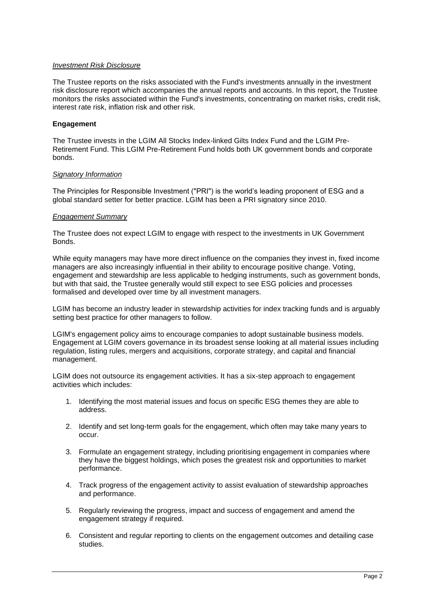### *Investment Risk Disclosure*

The Trustee reports on the risks associated with the Fund's investments annually in the investment risk disclosure report which accompanies the annual reports and accounts. In this report, the Trustee monitors the risks associated within the Fund's investments, concentrating on market risks, credit risk, interest rate risk, inflation risk and other risk.

# **Engagement**

The Trustee invests in the LGIM All Stocks Index-linked Gilts Index Fund and the LGIM Pre-Retirement Fund. This LGIM Pre-Retirement Fund holds both UK government bonds and corporate bonds.

### *Signatory Information*

The Principles for Responsible Investment ("PRI") is the world's leading proponent of ESG and a global standard setter for better practice. LGIM has been a PRI signatory since 2010.

#### *Engagement Summary*

The Trustee does not expect LGIM to engage with respect to the investments in UK Government Bonds.

While equity managers may have more direct influence on the companies they invest in, fixed income managers are also increasingly influential in their ability to encourage positive change. Voting, engagement and stewardship are less applicable to hedging instruments, such as government bonds, but with that said, the Trustee generally would still expect to see ESG policies and processes formalised and developed over time by all investment managers.

LGIM has become an industry leader in stewardship activities for index tracking funds and is arguably setting best practice for other managers to follow.

LGIM's engagement policy aims to encourage companies to adopt sustainable business models. Engagement at LGIM covers governance in its broadest sense looking at all material issues including regulation, listing rules, mergers and acquisitions, corporate strategy, and capital and financial management.

LGIM does not outsource its engagement activities. It has a six-step approach to engagement activities which includes:

- 1. Identifying the most material issues and focus on specific ESG themes they are able to address.
- 2. Identify and set long-term goals for the engagement, which often may take many years to occur.
- 3. Formulate an engagement strategy, including prioritising engagement in companies where they have the biggest holdings, which poses the greatest risk and opportunities to market performance.
- 4. Track progress of the engagement activity to assist evaluation of stewardship approaches and performance.
- 5. Regularly reviewing the progress, impact and success of engagement and amend the engagement strategy if required.
- 6. Consistent and regular reporting to clients on the engagement outcomes and detailing case studies.